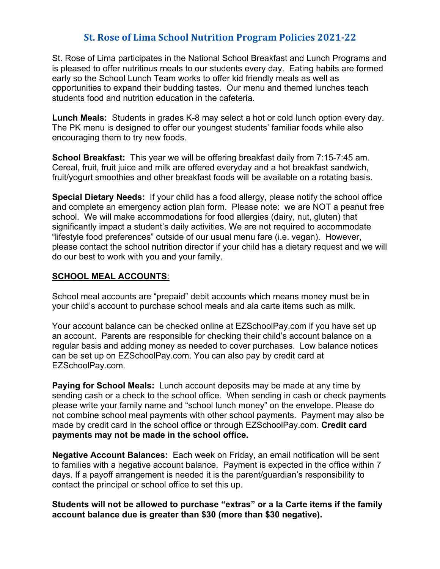## **St. Rose of Lima School Nutrition Program Policies 2021-22**

St. Rose of Lima participates in the National School Breakfast and Lunch Programs and is pleased to offer nutritious meals to our students every day. Eating habits are formed early so the School Lunch Team works to offer kid friendly meals as well as opportunities to expand their budding tastes. Our menu and themed lunches teach students food and nutrition education in the cafeteria.

**Lunch Meals:** Students in grades K-8 may select a hot or cold lunch option every day. The PK menu is designed to offer our youngest students' familiar foods while also encouraging them to try new foods.

**School Breakfast:** This year we will be offering breakfast daily from 7:15-7:45 am. Cereal, fruit, fruit juice and milk are offered everyday and a hot breakfast sandwich, fruit/yogurt smoothies and other breakfast foods will be available on a rotating basis.

**Special Dietary Needs:** If your child has a food allergy, please notify the school office and complete an emergency action plan form. Please note: we are NOT a peanut free school. We will make accommodations for food allergies (dairy, nut, gluten) that significantly impact a student's daily activities. We are not required to accommodate "lifestyle food preferences" outside of our usual menu fare (i.e. vegan). However, please contact the school nutrition director if your child has a dietary request and we will do our best to work with you and your family.

## **SCHOOL MEAL ACCOUNTS**:

School meal accounts are "prepaid" debit accounts which means money must be in your child's account to purchase school meals and ala carte items such as milk.

Your account balance can be checked online at EZSchoolPay.com if you have set up an account. Parents are responsible for checking their child's account balance on a regular basis and adding money as needed to cover purchases. Low balance notices can be set up on EZSchoolPay.com. You can also pay by credit card at EZSchoolPay.com.

**Paying for School Meals:** Lunch account deposits may be made at any time by sending cash or a check to the school office. When sending in cash or check payments please write your family name and "school lunch money" on the envelope. Please do not combine school meal payments with other school payments. Payment may also be made by credit card in the school office or through EZSchoolPay.com. **Credit card payments may not be made in the school office.**

**Negative Account Balances:** Each week on Friday, an email notification will be sent to families with a negative account balance. Payment is expected in the office within 7 days. If a payoff arrangement is needed it is the parent/guardian's responsibility to contact the principal or school office to set this up.

**Students will not be allowed to purchase "extras" or a la Carte items if the family account balance due is greater than \$30 (more than \$30 negative).**